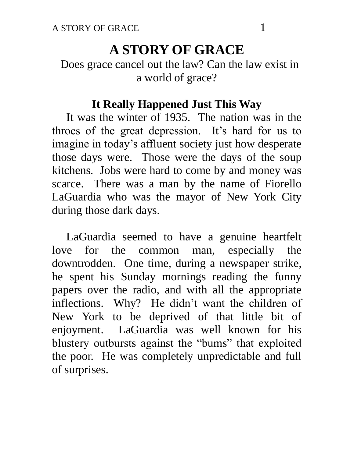# **A STORY OF GRACE**

# Does grace cancel out the law? Can the law exist in a world of grace?

#### **It Really Happened Just This Way**

 It was the winter of 1935. The nation was in the throes of the great depression. It's hard for us to imagine in today's affluent society just how desperate those days were. Those were the days of the soup kitchens. Jobs were hard to come by and money was scarce. There was a man by the name of Fiorello LaGuardia who was the mayor of New York City during those dark days.

 LaGuardia seemed to have a genuine heartfelt love for the common man, especially the downtrodden. One time, during a newspaper strike, he spent his Sunday mornings reading the funny papers over the radio, and with all the appropriate inflections. Why? He didn't want the children of New York to be deprived of that little bit of enjoyment. LaGuardia was well known for his blustery outbursts against the "bums" that exploited the poor. He was completely unpredictable and full of surprises.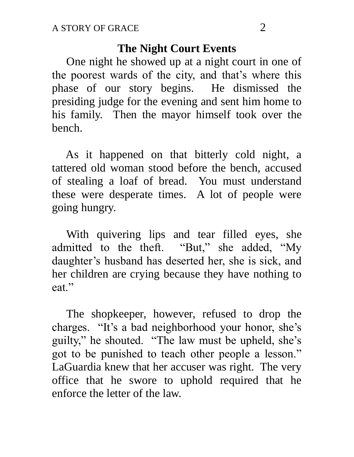#### **The Night Court Events**

 One night he showed up at a night court in one of the poorest wards of the city, and that's where this phase of our story begins. He dismissed the presiding judge for the evening and sent him home to his family. Then the mayor himself took over the bench.

 As it happened on that bitterly cold night, a tattered old woman stood before the bench, accused of stealing a loaf of bread. You must understand these were desperate times. A lot of people were going hungry.

 With quivering lips and tear filled eyes, she admitted to the theft. "But," she added, "My daughter's husband has deserted her, she is sick, and her children are crying because they have nothing to eat."

 The shopkeeper, however, refused to drop the charges. "It's a bad neighborhood your honor, she's guilty," he shouted. "The law must be upheld, she's got to be punished to teach other people a lesson." LaGuardia knew that her accuser was right. The very office that he swore to uphold required that he enforce the letter of the law.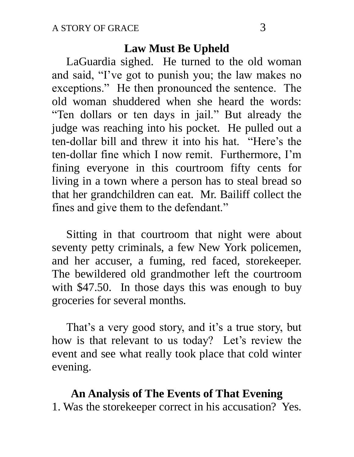#### **Law Must Be Upheld**

 LaGuardia sighed. He turned to the old woman and said, "I've got to punish you; the law makes no exceptions." He then pronounced the sentence. The old woman shuddered when she heard the words: "Ten dollars or ten days in jail." But already the judge was reaching into his pocket. He pulled out a ten-dollar bill and threw it into his hat. "Here's the ten-dollar fine which I now remit. Furthermore, I'm fining everyone in this courtroom fifty cents for living in a town where a person has to steal bread so that her grandchildren can eat. Mr. Bailiff collect the fines and give them to the defendant."

 Sitting in that courtroom that night were about seventy petty criminals, a few New York policemen, and her accuser, a fuming, red faced, storekeeper. The bewildered old grandmother left the courtroom with \$47.50. In those days this was enough to buy groceries for several months.

 That's a very good story, and it's a true story, but how is that relevant to us today? Let's review the event and see what really took place that cold winter evening.

# **An Analysis of The Events of That Evening**

1. Was the storekeeper correct in his accusation? Yes.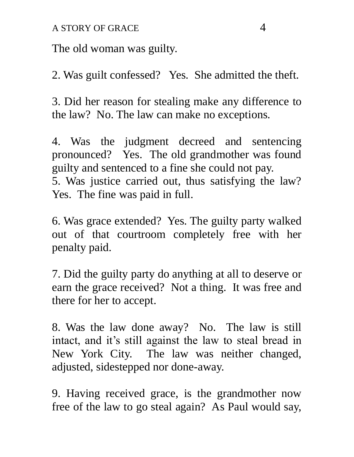The old woman was guilty.

2. Was guilt confessed? Yes. She admitted the theft.

3. Did her reason for stealing make any difference to the law? No. The law can make no exceptions.

4. Was the judgment decreed and sentencing pronounced? Yes. The old grandmother was found guilty and sentenced to a fine she could not pay. 5. Was justice carried out, thus satisfying the law? Yes. The fine was paid in full.

6. Was grace extended? Yes. The guilty party walked out of that courtroom completely free with her penalty paid.

7. Did the guilty party do anything at all to deserve or earn the grace received? Not a thing. It was free and there for her to accept.

8. Was the law done away? No. The law is still intact, and it's still against the law to steal bread in New York City. The law was neither changed, adjusted, sidestepped nor done-away.

9. Having received grace, is the grandmother now free of the law to go steal again? As Paul would say,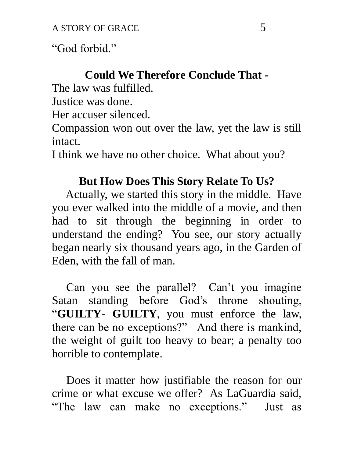"God forbid."

# **Could We Therefore Conclude That -**

The law was fulfilled.

Justice was done.

Her accuser silenced.

Compassion won out over the law, yet the law is still intact.

I think we have no other choice. What about you?

# **But How Does This Story Relate To Us?**

 Actually, we started this story in the middle. Have you ever walked into the middle of a movie, and then had to sit through the beginning in order to understand the ending? You see, our story actually began nearly six thousand years ago, in the Garden of Eden, with the fall of man.

 Can you see the parallel? Can't you imagine Satan standing before God's throne shouting, "**GUILTY**- **GUILTY**, you must enforce the law, there can be no exceptions?" And there is mankind, the weight of guilt too heavy to bear; a penalty too horrible to contemplate.

 Does it matter how justifiable the reason for our crime or what excuse we offer? As LaGuardia said, "The law can make no exceptions." Just as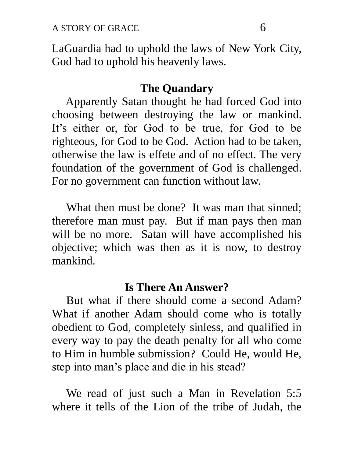LaGuardia had to uphold the laws of New York City, God had to uphold his heavenly laws.

#### **The Quandary**

 Apparently Satan thought he had forced God into choosing between destroying the law or mankind. It's either or, for God to be true, for God to be righteous, for God to be God. Action had to be taken, otherwise the law is effete and of no effect. The very foundation of the government of God is challenged. For no government can function without law.

 What then must be done? It was man that sinned; therefore man must pay. But if man pays then man will be no more. Satan will have accomplished his objective; which was then as it is now, to destroy mankind.

#### **Is There An Answer?**

 But what if there should come a second Adam? What if another Adam should come who is totally obedient to God, completely sinless, and qualified in every way to pay the death penalty for all who come to Him in humble submission? Could He, would He, step into man's place and die in his stead?

 We read of just such a Man in Revelation 5:5 where it tells of the Lion of the tribe of Judah, the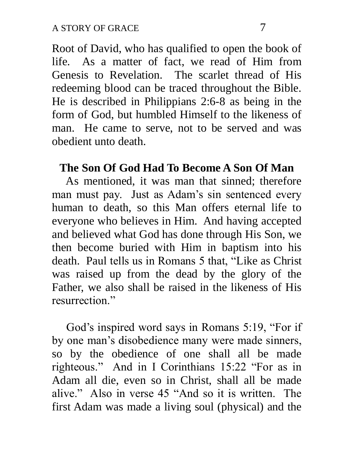Root of David, who has qualified to open the book of life. As a matter of fact, we read of Him from Genesis to Revelation. The scarlet thread of His redeeming blood can be traced throughout the Bible. He is described in Philippians 2:6-8 as being in the form of God, but humbled Himself to the likeness of man. He came to serve, not to be served and was obedient unto death.

#### **The Son Of God Had To Become A Son Of Man**

 As mentioned, it was man that sinned; therefore man must pay. Just as Adam's sin sentenced every human to death, so this Man offers eternal life to everyone who believes in Him. And having accepted and believed what God has done through His Son, we then become buried with Him in baptism into his death. Paul tells us in Romans 5 that, "Like as Christ was raised up from the dead by the glory of the Father, we also shall be raised in the likeness of His resurrection."

 God's inspired word says in Romans 5:19, "For if by one man's disobedience many were made sinners, so by the obedience of one shall all be made righteous." And in I Corinthians 15:22 "For as in Adam all die, even so in Christ, shall all be made alive." Also in verse 45 "And so it is written. The first Adam was made a living soul (physical) and the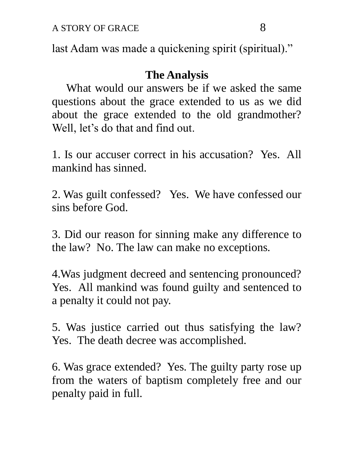last Adam was made a quickening spirit (spiritual)."

# **The Analysis**

 What would our answers be if we asked the same questions about the grace extended to us as we did about the grace extended to the old grandmother? Well, let's do that and find out.

1. Is our accuser correct in his accusation? Yes. All mankind has sinned.

2. Was guilt confessed? Yes. We have confessed our sins before God.

3. Did our reason for sinning make any difference to the law? No. The law can make no exceptions.

4.Was judgment decreed and sentencing pronounced? Yes. All mankind was found guilty and sentenced to a penalty it could not pay.

5. Was justice carried out thus satisfying the law? Yes. The death decree was accomplished.

6. Was grace extended? Yes. The guilty party rose up from the waters of baptism completely free and our penalty paid in full.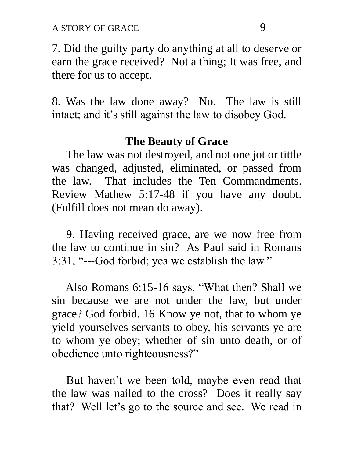A STORY OF GRACE 9

7. Did the guilty party do anything at all to deserve or earn the grace received? Not a thing; It was free, and there for us to accept.

8. Was the law done away? No. The law is still intact; and it's still against the law to disobey God.

#### **The Beauty of Grace**

 The law was not destroyed, and not one jot or tittle was changed, adjusted, eliminated, or passed from the law. That includes the Ten Commandments. Review Mathew 5:17-48 if you have any doubt. (Fulfill does not mean do away).

 9. Having received grace, are we now free from the law to continue in sin? As Paul said in Romans 3:31, "---God forbid; yea we establish the law."

 Also Romans 6:15-16 says, "What then? Shall we sin because we are not under the law, but under grace? God forbid. 16 Know ye not, that to whom ye yield yourselves servants to obey, his servants ye are to whom ye obey; whether of sin unto death, or of obedience unto righteousness?"

 But haven't we been told, maybe even read that the law was nailed to the cross? Does it really say that? Well let's go to the source and see. We read in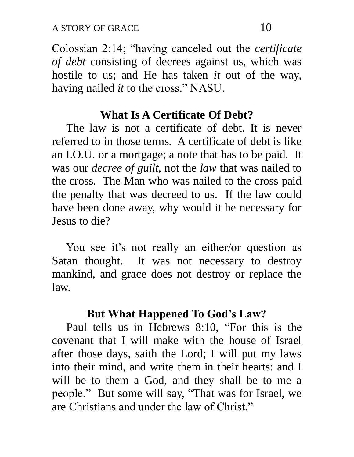Colossian 2:14; "having canceled out the *certificate of debt* consisting of decrees against us, which was hostile to us; and He has taken *it* out of the way, having nailed *it* to the cross." NASU.

#### **What Is A Certificate Of Debt?**

 The law is not a certificate of debt. It is never referred to in those terms. A certificate of debt is like an I.O.U. or a mortgage; a note that has to be paid. It was our *decree of guilt*, not the *law* that was nailed to the cross. The Man who was nailed to the cross paid the penalty that was decreed to us. If the law could have been done away, why would it be necessary for Jesus to die?

 You see it's not really an either/or question as Satan thought. It was not necessary to destroy mankind, and grace does not destroy or replace the law.

#### **But What Happened To God's Law?**

 Paul tells us in Hebrews 8:10, "For this is the covenant that I will make with the house of Israel after those days, saith the Lord; I will put my laws into their mind, and write them in their hearts: and I will be to them a God, and they shall be to me a people." But some will say, "That was for Israel, we are Christians and under the law of Christ."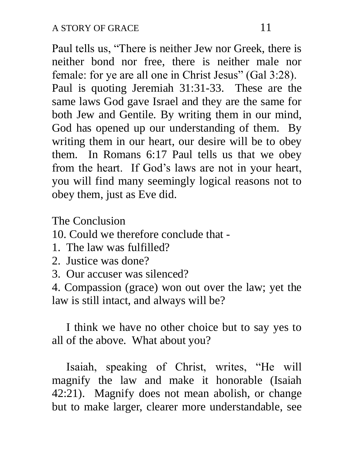Paul tells us, "There is neither Jew nor Greek, there is neither bond nor free, there is neither male nor female: for ye are all one in Christ Jesus" (Gal 3:28). Paul is quoting Jeremiah 31:31-33. These are the same laws God gave Israel and they are the same for both Jew and Gentile. By writing them in our mind, God has opened up our understanding of them. By writing them in our heart, our desire will be to obey them. In Romans 6:17 Paul tells us that we obey from the heart. If God's laws are not in your heart, you will find many seemingly logical reasons not to obey them, just as Eve did.

The Conclusion

10. Could we therefore conclude that -

- 1. The law was fulfilled?
- 2. Justice was done?
- 3. Our accuser was silenced?

4. Compassion (grace) won out over the law; yet the law is still intact, and always will be?

 I think we have no other choice but to say yes to all of the above. What about you?

 Isaiah, speaking of Christ, writes, "He will magnify the law and make it honorable (Isaiah 42:21). Magnify does not mean abolish, or change but to make larger, clearer more understandable, see